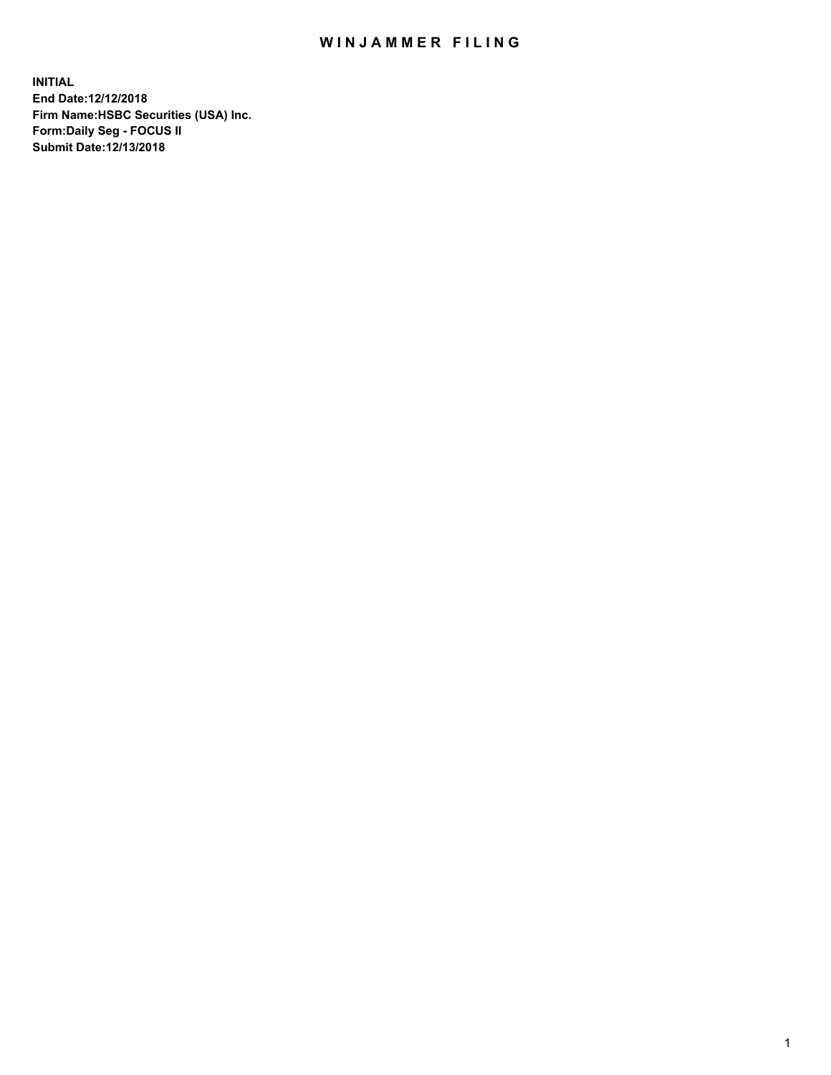## WIN JAMMER FILING

**INITIAL End Date:12/12/2018 Firm Name:HSBC Securities (USA) Inc. Form:Daily Seg - FOCUS II Submit Date:12/13/2018**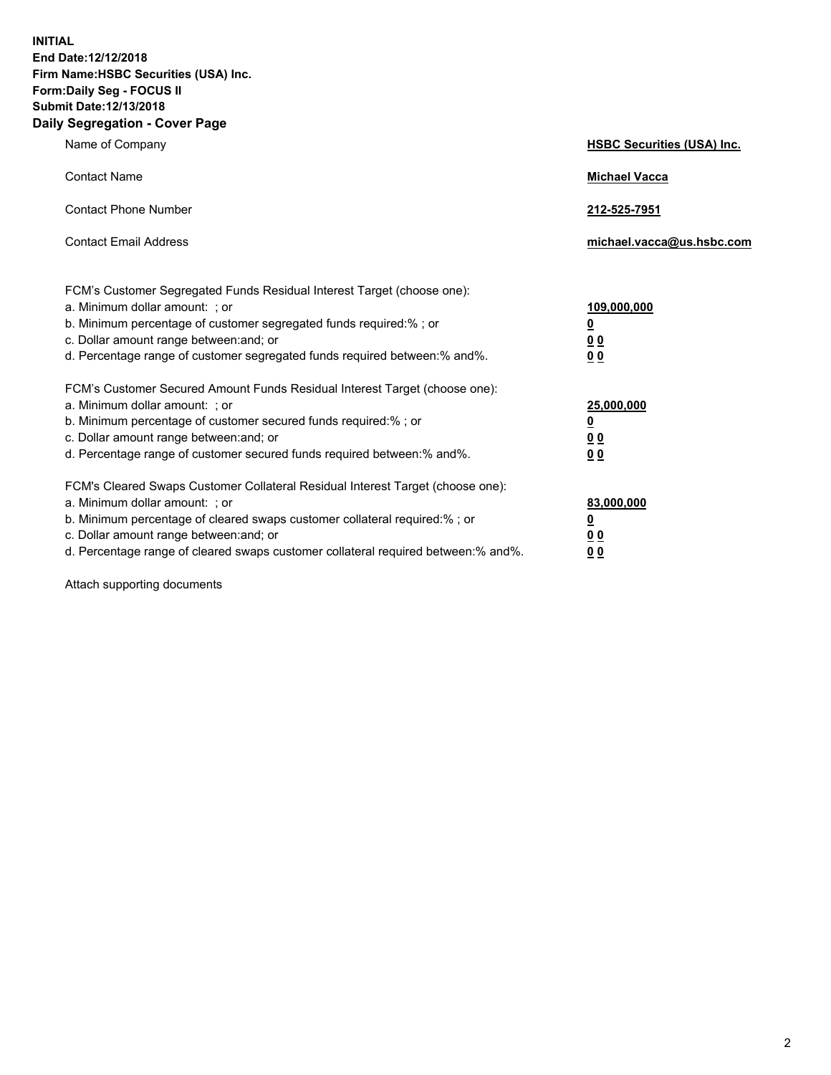**INITIAL End Date:12/12/2018 Firm Name:HSBC Securities (USA) Inc. Form:Daily Seg - FOCUS II Submit Date:12/13/2018 Daily Segregation - Cover Page**

| Name of Company                                                                                                                                                                                                                                                                                                                | <b>HSBC Securities (USA) Inc.</b>                           |
|--------------------------------------------------------------------------------------------------------------------------------------------------------------------------------------------------------------------------------------------------------------------------------------------------------------------------------|-------------------------------------------------------------|
| <b>Contact Name</b>                                                                                                                                                                                                                                                                                                            | <b>Michael Vacca</b>                                        |
| <b>Contact Phone Number</b>                                                                                                                                                                                                                                                                                                    | 212-525-7951                                                |
| <b>Contact Email Address</b>                                                                                                                                                                                                                                                                                                   | michael.vacca@us.hsbc.com                                   |
| FCM's Customer Segregated Funds Residual Interest Target (choose one):<br>a. Minimum dollar amount: ; or<br>b. Minimum percentage of customer segregated funds required:% ; or<br>c. Dollar amount range between: and; or<br>d. Percentage range of customer segregated funds required between:% and%.                         | 109,000,000<br><u>0</u><br>0 <sub>0</sub><br>0 <sub>0</sub> |
| FCM's Customer Secured Amount Funds Residual Interest Target (choose one):<br>a. Minimum dollar amount: ; or<br>b. Minimum percentage of customer secured funds required:% ; or<br>c. Dollar amount range between: and; or<br>d. Percentage range of customer secured funds required between: % and %.                         | 25,000,000<br><u>0</u><br>0 <sub>0</sub><br>0 <sub>0</sub>  |
| FCM's Cleared Swaps Customer Collateral Residual Interest Target (choose one):<br>a. Minimum dollar amount: ; or<br>b. Minimum percentage of cleared swaps customer collateral required:% ; or<br>c. Dollar amount range between: and; or<br>d. Percentage range of cleared swaps customer collateral required between:% and%. | 83,000,000<br><u>0</u><br>00<br>00                          |

Attach supporting documents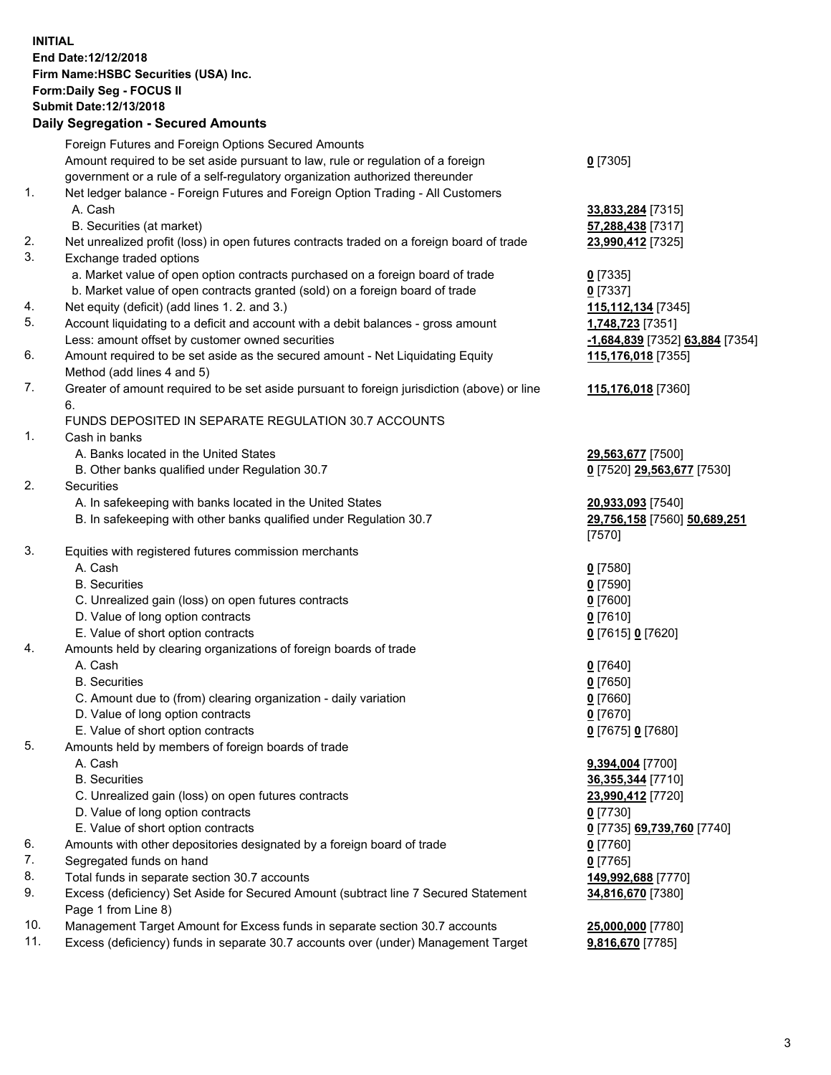**INITIAL End Date:12/12/2018 Firm Name:HSBC Securities (USA) Inc. Form:Daily Seg - FOCUS II Submit Date:12/13/2018 Daily Segregation - Secured Amounts** Foreign Futures and Foreign Options Secured Amounts Amount required to be set aside pursuant to law, rule or regulation of a foreign government or a rule of a self-regulatory organization authorized thereunder **0** [7305] 1. Net ledger balance - Foreign Futures and Foreign Option Trading - All Customers A. Cash **33,833,284** [7315] B. Securities (at market) **57,288,438** [7317] 2. Net unrealized profit (loss) in open futures contracts traded on a foreign board of trade **23,990,412** [7325] 3. Exchange traded options a. Market value of open option contracts purchased on a foreign board of trade **0** [7335] b. Market value of open contracts granted (sold) on a foreign board of trade **0** [7337] 4. Net equity (deficit) (add lines 1. 2. and 3.) **115,112,134** [7345] 5. Account liquidating to a deficit and account with a debit balances - gross amount **1,748,723** [7351] Less: amount offset by customer owned securities **-1,684,839** [7352] **63,884** [7354] 6. Amount required to be set aside as the secured amount - Net Liquidating Equity Method (add lines 4 and 5) **115,176,018** [7355] 7. Greater of amount required to be set aside pursuant to foreign jurisdiction (above) or line 6. **115,176,018** [7360] FUNDS DEPOSITED IN SEPARATE REGULATION 30.7 ACCOUNTS 1. Cash in banks A. Banks located in the United States **29,563,677** [7500] B. Other banks qualified under Regulation 30.7 **0** [7520] **29,563,677** [7530] 2. Securities A. In safekeeping with banks located in the United States **20,933,093** [7540] B. In safekeeping with other banks qualified under Regulation 30.7 **29,756,158** [7560] **50,689,251** [7570] 3. Equities with registered futures commission merchants A. Cash **0** [7580] B. Securities **0** [7590] C. Unrealized gain (loss) on open futures contracts **0** [7600] D. Value of long option contracts **0** [7610] E. Value of short option contracts **0** [7615] **0** [7620] 4. Amounts held by clearing organizations of foreign boards of trade A. Cash **0** [7640] B. Securities **0** [7650] C. Amount due to (from) clearing organization - daily variation **0** [7660] D. Value of long option contracts **0** [7670] E. Value of short option contracts **0** [7675] **0** [7680] 5. Amounts held by members of foreign boards of trade A. Cash **9,394,004** [7700] B. Securities **36,355,344** [7710] C. Unrealized gain (loss) on open futures contracts **23,990,412** [7720] D. Value of long option contracts **0** [7730] E. Value of short option contracts **0** [7735] **69,739,760** [7740] 6. Amounts with other depositories designated by a foreign board of trade **0** [7760] 7. Segregated funds on hand **0** [7765] 8. Total funds in separate section 30.7 accounts **149,992,688** [7770] 9. Excess (deficiency) Set Aside for Secured Amount (subtract line 7 Secured Statement Page 1 from Line 8) **34,816,670** [7380]

10. Management Target Amount for Excess funds in separate section 30.7 accounts **25,000,000** [7780]

11. Excess (deficiency) funds in separate 30.7 accounts over (under) Management Target **9,816,670** [7785]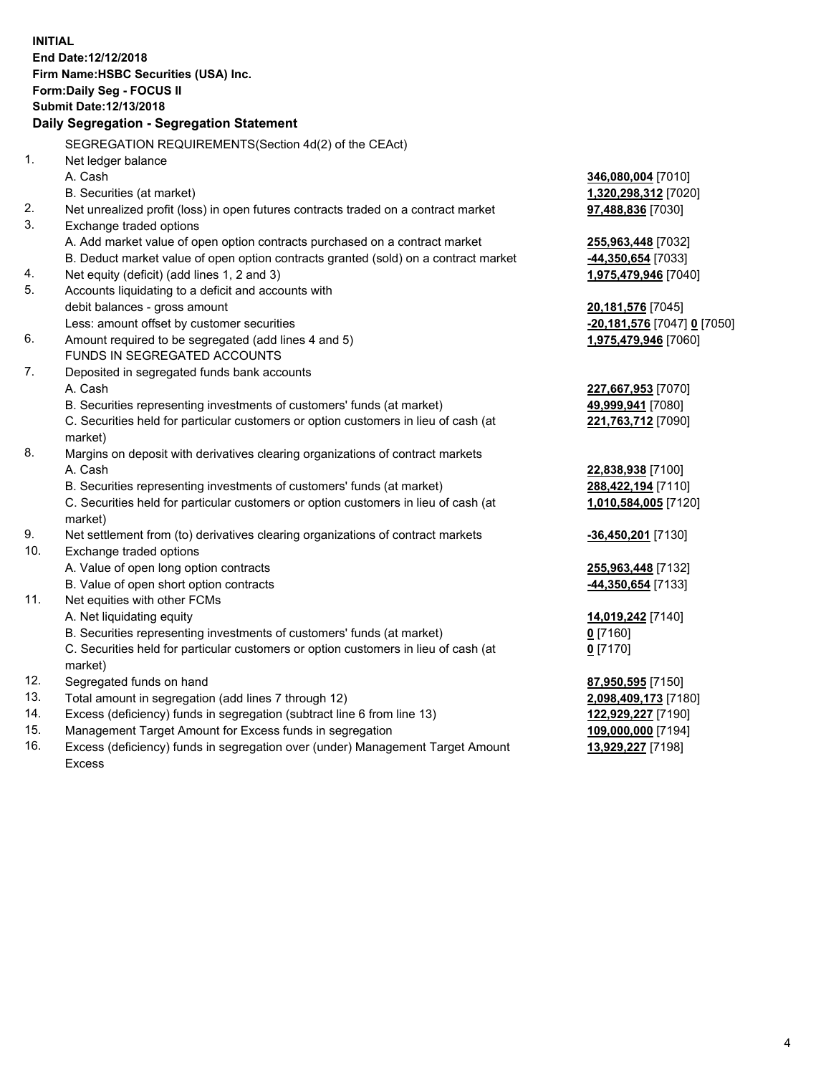**INITIAL End Date:12/12/2018 Firm Name:HSBC Securities (USA) Inc. Form:Daily Seg - FOCUS II Submit Date:12/13/2018 Daily Segregation - Segregation Statement** SEGREGATION REQUIREMENTS(Section 4d(2) of the CEAct) 1. Net ledger balance A. Cash **346,080,004** [7010] B. Securities (at market) **1,320,298,312** [7020] 2. Net unrealized profit (loss) in open futures contracts traded on a contract market **97,488,836** [7030] 3. Exchange traded options A. Add market value of open option contracts purchased on a contract market **255,963,448** [7032] B. Deduct market value of open option contracts granted (sold) on a contract market **-44,350,654** [7033] 4. Net equity (deficit) (add lines 1, 2 and 3) **1,975,479,946** [7040] 5. Accounts liquidating to a deficit and accounts with debit balances - gross amount **20,181,576** [7045] Less: amount offset by customer securities **-20,181,576** [7047] **0** [7050] 6. Amount required to be segregated (add lines 4 and 5) **1,975,479,946** [7060] FUNDS IN SEGREGATED ACCOUNTS 7. Deposited in segregated funds bank accounts A. Cash **227,667,953** [7070] B. Securities representing investments of customers' funds (at market) **49,999,941** [7080] C. Securities held for particular customers or option customers in lieu of cash (at market) **221,763,712** [7090] 8. Margins on deposit with derivatives clearing organizations of contract markets A. Cash **22,838,938** [7100] B. Securities representing investments of customers' funds (at market) **288,422,194** [7110] C. Securities held for particular customers or option customers in lieu of cash (at market) **1,010,584,005** [7120] 9. Net settlement from (to) derivatives clearing organizations of contract markets **-36,450,201** [7130] 10. Exchange traded options A. Value of open long option contracts **255,963,448** [7132] B. Value of open short option contracts **-44,350,654** [7133] 11. Net equities with other FCMs A. Net liquidating equity **14,019,242** [7140] B. Securities representing investments of customers' funds (at market) **0** [7160] C. Securities held for particular customers or option customers in lieu of cash (at market) **0** [7170] 12. Segregated funds on hand **87,950,595** [7150] 13. Total amount in segregation (add lines 7 through 12) **2,098,409,173** [7180] 14. Excess (deficiency) funds in segregation (subtract line 6 from line 13) **122,929,227** [7190] 15. Management Target Amount for Excess funds in segregation **109,000,000** [7194]

16. Excess (deficiency) funds in segregation over (under) Management Target Amount Excess

**13,929,227** [7198]